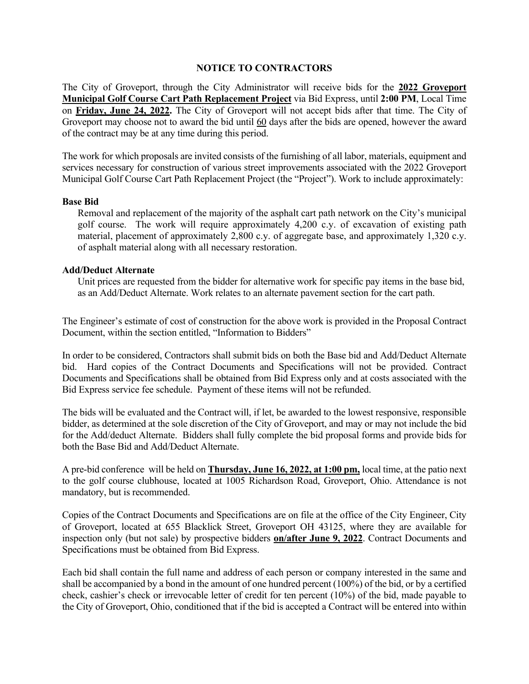## **NOTICE TO CONTRACTORS**

The City of Groveport, through the City Administrator will receive bids for the **2022 Groveport Municipal Golf Course Cart Path Replacement Project** via Bid Express, until **2:00 PM**, Local Time on **Friday, June 24, 2022.** The City of Groveport will not accept bids after that time. The City of Groveport may choose not to award the bid until 60 days after the bids are opened, however the award of the contract may be at any time during this period.

The work for which proposals are invited consists of the furnishing of all labor, materials, equipment and services necessary for construction of various street improvements associated with the 2022 Groveport Municipal Golf Course Cart Path Replacement Project (the "Project"). Work to include approximately:

## **Base Bid**

Removal and replacement of the majority of the asphalt cart path network on the City's municipal golf course. The work will require approximately 4,200 c.y. of excavation of existing path material, placement of approximately 2,800 c.y. of aggregate base, and approximately 1,320 c.y. of asphalt material along with all necessary restoration.

## **Add/Deduct Alternate**

Unit prices are requested from the bidder for alternative work for specific pay items in the base bid, as an Add/Deduct Alternate. Work relates to an alternate pavement section for the cart path.

The Engineer's estimate of cost of construction for the above work is provided in the Proposal Contract Document, within the section entitled, "Information to Bidders"

In order to be considered, Contractors shall submit bids on both the Base bid and Add/Deduct Alternate bid. Hard copies of the Contract Documents and Specifications will not be provided. Contract Documents and Specifications shall be obtained from Bid Express only and at costs associated with the Bid Express service fee schedule. Payment of these items will not be refunded.

The bids will be evaluated and the Contract will, if let, be awarded to the lowest responsive, responsible bidder, as determined at the sole discretion of the City of Groveport, and may or may not include the bid for the Add/deduct Alternate. Bidders shall fully complete the bid proposal forms and provide bids for both the Base Bid and Add/Deduct Alternate.

A pre-bid conference will be held on **Thursday, June 16, 2022, at 1:00 pm,** local time, at the patio next to the golf course clubhouse, located at 1005 Richardson Road, Groveport, Ohio. Attendance is not mandatory, but is recommended.

Copies of the Contract Documents and Specifications are on file at the office of the City Engineer, City of Groveport, located at 655 Blacklick Street, Groveport OH 43125, where they are available for inspection only (but not sale) by prospective bidders **on/after June 9, 2022**. Contract Documents and Specifications must be obtained from Bid Express.

Each bid shall contain the full name and address of each person or company interested in the same and shall be accompanied by a bond in the amount of one hundred percent (100%) of the bid, or by a certified check, cashier's check or irrevocable letter of credit for ten percent (10%) of the bid, made payable to the City of Groveport, Ohio, conditioned that if the bid is accepted a Contract will be entered into within